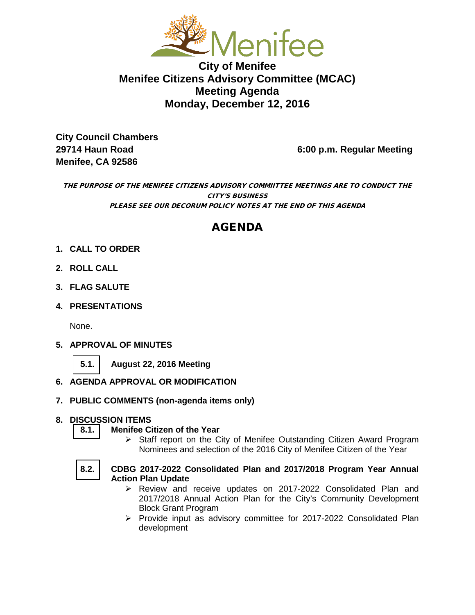

**City of Menifee Menifee Citizens Advisory Committee (MCAC) Meeting Agenda Monday, December 12, 2016**

**City Council Chambers Menifee, CA 92586** 

**29714 Haun Road 6:00 p.m. Regular Meeting**

THE PURPOSE OF THE MENIFEE CITIZENS ADVISORY COMMIITTEE MEETINGS ARE TO CONDUCT THE CITY'S BUSINESS PLEASE SEE OUR DECORUM POLICY NOTES AT THE END OF THIS AGENDA

# AGENDA

- **1. CALL TO ORDER**
- **2. ROLL CALL**
- **3. FLAG SALUTE**
- **4. PRESENTATIONS**

None.

- **5. APPROVAL OF MINUTES**
	- **[5.1.](#page-2-0) August 22, 2016 Meeting**
- **6. AGENDA APPROVAL OR MODIFICATION**
- **7. PUBLIC COMMENTS (non-agenda items only)**

# **8. DISCUSSION ITEMS**

- **[8.1.](#page-5-0) Menifee Citizen of the Year** 
	- $\triangleright$  Staff report on the City of Menifee Outstanding Citizen Award Program Nominees and selection of the 2016 City of Menifee Citizen of the Year
- **[8.2.](#page-9-0) CDBG 2017-2022 Consolidated Plan and 2017/2018 Program Year Annual Action Plan Update**
	- Review and receive updates on 2017-2022 Consolidated Plan and 2017/2018 Annual Action Plan for the City's Community Development Block Grant Program
	- $\triangleright$  Provide input as advisory committee for 2017-2022 Consolidated Plan development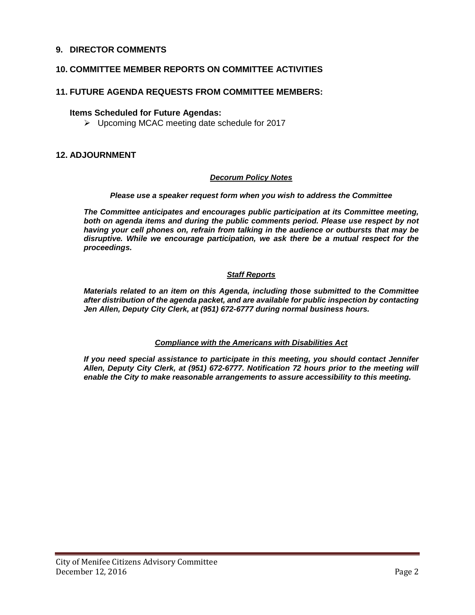#### **9. DIRECTOR COMMENTS**

#### **10. COMMITTEE MEMBER REPORTS ON COMMITTEE ACTIVITIES**

## **11. FUTURE AGENDA REQUESTS FROM COMMITTEE MEMBERS:**

#### **Items Scheduled for Future Agendas:**

 $\triangleright$  Upcoming MCAC meeting date schedule for 2017

#### **12. ADJOURNMENT**

#### *Decorum Policy Notes*

#### *Please use a speaker request form when you wish to address the Committee*

*The Committee anticipates and encourages public participation at its Committee meeting,*  both on agenda items and during the public comments period. Please use respect by not *having your cell phones on, refrain from talking in the audience or outbursts that may be disruptive. While we encourage participation, we ask there be a mutual respect for the proceedings.*

#### *Staff Reports*

*Materials related to an item on this Agenda, including those submitted to the Committee after distribution of the agenda packet, and are available for public inspection by contacting Jen Allen, Deputy City Clerk, at (951) 672-6777 during normal business hours.* 

#### *Compliance with the Americans with Disabilities Act*

*If you need special assistance to participate in this meeting, you should contact Jennifer Allen, Deputy City Clerk, at (951) 672-6777. Notification 72 hours prior to the meeting will enable the City to make reasonable arrangements to assure accessibility to this meeting.*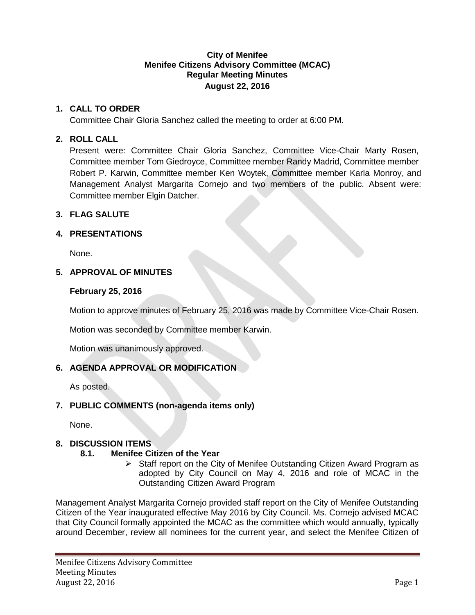#### **City of Menifee Menifee Citizens Advisory Committee (MCAC) Regular Meeting Minutes August 22, 2016**

## <span id="page-2-0"></span>**1. CALL TO ORDER**

Committee Chair Gloria Sanchez called the meeting to order at 6:00 PM.

## **2. ROLL CALL**

Present were: Committee Chair Gloria Sanchez, Committee Vice-Chair Marty Rosen, Committee member Tom Giedroyce, Committee member Randy Madrid, Committee member Robert P. Karwin, Committee member Ken Woytek, Committee member Karla Monroy, and Management Analyst Margarita Cornejo and two members of the public. Absent were: Committee member Elgin Datcher.

## **3. FLAG SALUTE**

## **4. PRESENTATIONS**

None.

## **5. APPROVAL OF MINUTES**

## **February 25, 2016**

Motion to approve minutes of February 25, 2016 was made by Committee Vice-Chair Rosen.

Motion was seconded by Committee member Karwin.

Motion was unanimously approved.

# **6. AGENDA APPROVAL OR MODIFICATION**

As posted.

# **7. PUBLIC COMMENTS (non-agenda items only)**

None.

# **8. DISCUSSION ITEMS**

# **8.1. Menifee Citizen of the Year**

Staff report on the City of Menifee Outstanding Citizen Award Program as adopted by City Council on May 4, 2016 and role of MCAC in the Outstanding Citizen Award Program

Management Analyst Margarita Cornejo provided staff report on the City of Menifee Outstanding Citizen of the Year inaugurated effective May 2016 by City Council. Ms. Cornejo advised MCAC that City Council formally appointed the MCAC as the committee which would annually, typically around December, review all nominees for the current year, and select the Menifee Citizen of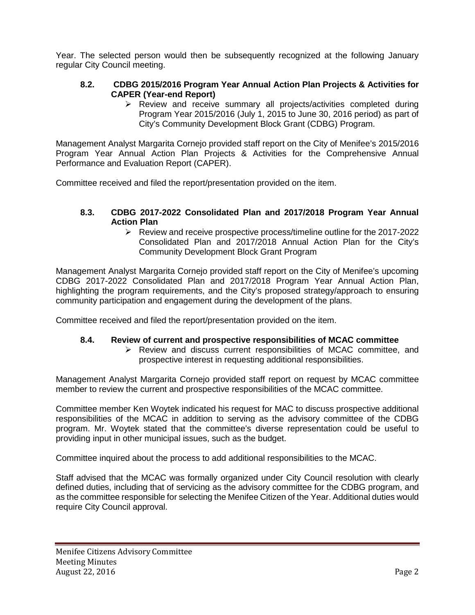Year. The selected person would then be subsequently recognized at the following January regular City Council meeting.

## **8.2. CDBG 2015/2016 Program Year Annual Action Plan Projects & Activities for CAPER (Year-end Report)**

 $\triangleright$  Review and receive summary all projects/activities completed during Program Year 2015/2016 (July 1, 2015 to June 30, 2016 period) as part of City's Community Development Block Grant (CDBG) Program.

Management Analyst Margarita Cornejo provided staff report on the City of Menifee's 2015/2016 Program Year Annual Action Plan Projects & Activities for the Comprehensive Annual Performance and Evaluation Report (CAPER).

Committee received and filed the report/presentation provided on the item.

#### **8.3. CDBG 2017-2022 Consolidated Plan and 2017/2018 Program Year Annual Action Plan**

 $\triangleright$  Review and receive prospective process/timeline outline for the 2017-2022 Consolidated Plan and 2017/2018 Annual Action Plan for the City's Community Development Block Grant Program

Management Analyst Margarita Cornejo provided staff report on the City of Menifee's upcoming CDBG 2017-2022 Consolidated Plan and 2017/2018 Program Year Annual Action Plan, highlighting the program requirements, and the City's proposed strategy/approach to ensuring community participation and engagement during the development of the plans.

Committee received and filed the report/presentation provided on the item.

#### **8.4. Review of current and prospective responsibilities of MCAC committee**

 Review and discuss current responsibilities of MCAC committee, and prospective interest in requesting additional responsibilities.

Management Analyst Margarita Cornejo provided staff report on request by MCAC committee member to review the current and prospective responsibilities of the MCAC committee.

Committee member Ken Woytek indicated his request for MAC to discuss prospective additional responsibilities of the MCAC in addition to serving as the advisory committee of the CDBG program. Mr. Woytek stated that the committee's diverse representation could be useful to providing input in other municipal issues, such as the budget.

Committee inquired about the process to add additional responsibilities to the MCAC.

Staff advised that the MCAC was formally organized under City Council resolution with clearly defined duties, including that of servicing as the advisory committee for the CDBG program, and as the committee responsible for selecting the Menifee Citizen of the Year. Additional duties would require City Council approval.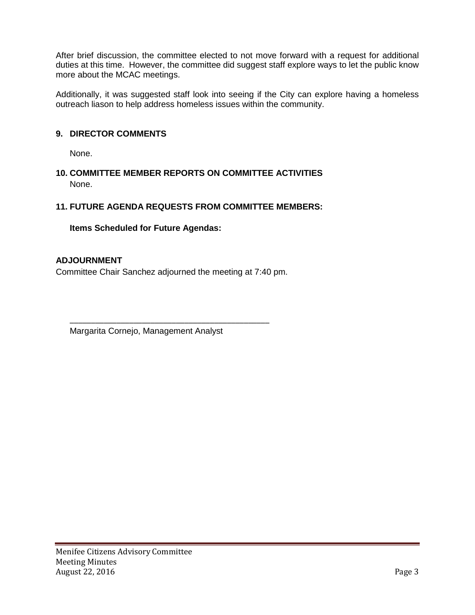After brief discussion, the committee elected to not move forward with a request for additional duties at this time. However, the committee did suggest staff explore ways to let the public know more about the MCAC meetings.

Additionally, it was suggested staff look into seeing if the City can explore having a homeless outreach liason to help address homeless issues within the community.

# **9. DIRECTOR COMMENTS**

None.

**10. COMMITTEE MEMBER REPORTS ON COMMITTEE ACTIVITIES** None.

# **11. FUTURE AGENDA REQUESTS FROM COMMITTEE MEMBERS:**

# **Items Scheduled for Future Agendas:**

## **ADJOURNMENT**

Committee Chair Sanchez adjourned the meeting at 7:40 pm.

\_\_\_\_\_\_\_\_\_\_\_\_\_\_\_\_\_\_\_\_\_\_\_\_\_\_\_\_\_\_\_\_\_\_\_\_\_\_\_\_\_\_\_\_\_\_\_

Margarita Cornejo, Management Analyst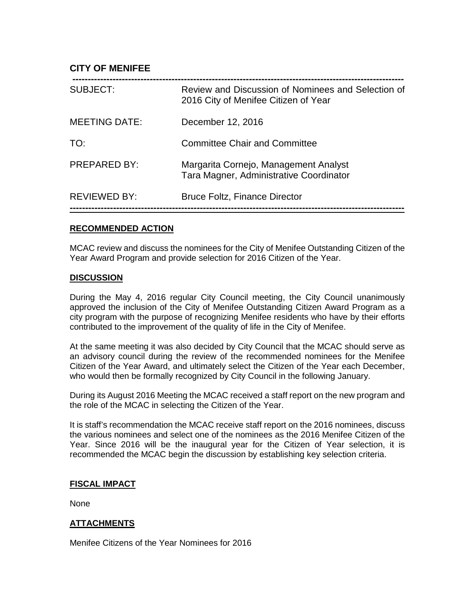## <span id="page-5-0"></span>**CITY OF MENIFEE**

| SUBJECT:             | Review and Discussion of Nominees and Selection of<br>2016 City of Menifee Citizen of Year |
|----------------------|--------------------------------------------------------------------------------------------|
| <b>MEETING DATE:</b> | December 12, 2016                                                                          |
| TO:                  | <b>Committee Chair and Committee</b>                                                       |
| <b>PREPARED BY:</b>  | Margarita Cornejo, Management Analyst<br>Tara Magner, Administrative Coordinator           |
| <b>REVIEWED BY:</b>  | <b>Bruce Foltz, Finance Director</b>                                                       |

#### **RECOMMENDED ACTION**

MCAC review and discuss the nominees for the City of Menifee Outstanding Citizen of the Year Award Program and provide selection for 2016 Citizen of the Year.

#### **DISCUSSION**

During the May 4, 2016 regular City Council meeting, the City Council unanimously approved the inclusion of the City of Menifee Outstanding Citizen Award Program as a city program with the purpose of recognizing Menifee residents who have by their efforts contributed to the improvement of the quality of life in the City of Menifee.

At the same meeting it was also decided by City Council that the MCAC should serve as an advisory council during the review of the recommended nominees for the Menifee Citizen of the Year Award, and ultimately select the Citizen of the Year each December, who would then be formally recognized by City Council in the following January.

During its August 2016 Meeting the MCAC received a staff report on the new program and the role of the MCAC in selecting the Citizen of the Year.

It is staff's recommendation the MCAC receive staff report on the 2016 nominees, discuss the various nominees and select one of the nominees as the 2016 Menifee Citizen of the Year. Since 2016 will be the inaugural year for the Citizen of Year selection, it is recommended the MCAC begin the discussion by establishing key selection criteria.

#### **FISCAL IMPACT**

None

#### **ATTACHMENTS**

Menifee Citizens of the Year Nominees for 2016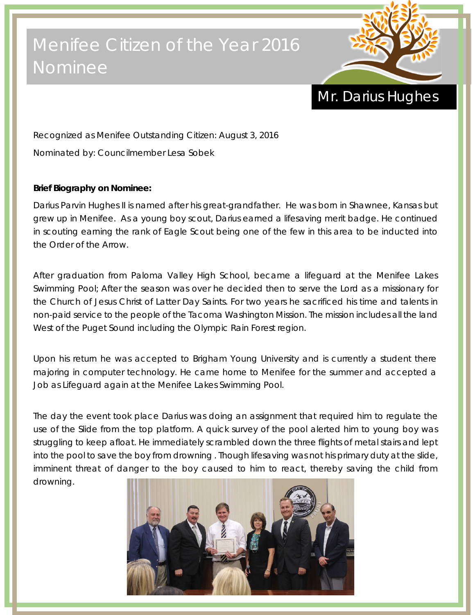# Menifee Citizen of the Year 2016 Nominee



# Mr. Darius Hughes

Recognized as Menifee Outstanding Citizen: August 3, 2016 Nominated by: Councilmember Lesa Sobek

# **Brief Biography on Nominee:**

Darius Parvin Hughes II is named after his great-grandfather. He was born in Shawnee, Kansas but grew up in Menifee. As a young boy scout, Darius earned a lifesaving merit badge. He continued in scouting earning the rank of Eagle Scout being one of the few in this area to be inducted into the Order of the Arrow.

After graduation from Paloma Valley High School, became a lifeguard at the Menifee Lakes Swimming Pool; After the season was over he decided then to serve the Lord as a missionary for the Church of Jesus Christ of Latter Day Saints. For two years he sacrificed his time and talents in non-paid service to the people of the Tacoma Washington Mission. The mission includes all the land West of the Puget Sound including the Olympic Rain Forest region.

Upon his return he was accepted to Brigham Young University and is currently a student there majoring in computer technology. He came home to Menifee for the summer and accepted a Job as Lifeguard again at the Menifee Lakes Swimming Pool.

The day the event took place Darius was doing an assignment that required him to regulate the use of the Slide from the top platform. A quick survey of the pool alerted him to young boy was struggling to keep afloat. He immediately scrambled down the three flights of metal stairs and lept into the pool to save the boy from drowning . Though lifesaving was not his primary duty at the slide, imminent threat of danger to the boy caused to him to react, thereby saving the child from drowning.

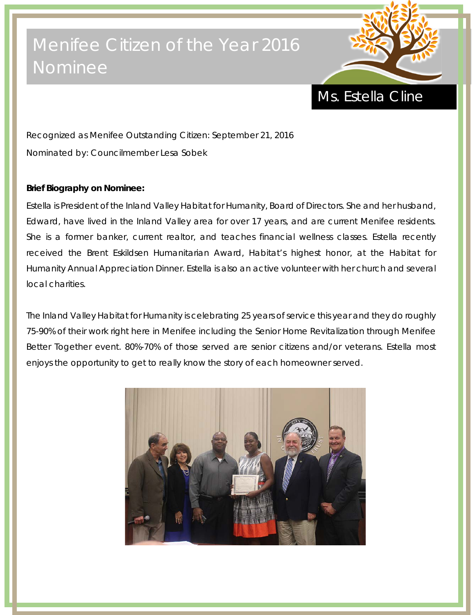# Menifee Citizen of the Year 2016 Nominee



Ms. Estella Cline

Recognized as Menifee Outstanding Citizen: September 21, 2016 Nominated by: Councilmember Lesa Sobek

## **Brief Biography on Nominee:**

Estella is President of the Inland Valley Habitat for Humanity, Board of Directors. She and her husband, Edward, have lived in the Inland Valley area for over 17 years, and are current Menifee residents. She is a former banker, current realtor, and teaches financial wellness classes. Estella recently received the Brent Eskildsen Humanitarian Award, Habitat's highest honor, at the Habitat for Humanity Annual Appreciation Dinner. Estella is also an active volunteer with her church and several local charities.

The Inland Valley Habitat for Humanity is celebrating 25 years of service this year and they do roughly 75-90% of their work right here in Menifee including the Senior Home Revitalization through Menifee Better Together event. 80%-70% of those served are senior citizens and/or veterans. Estella most enjoys the opportunity to get to really know the story of each homeowner served.

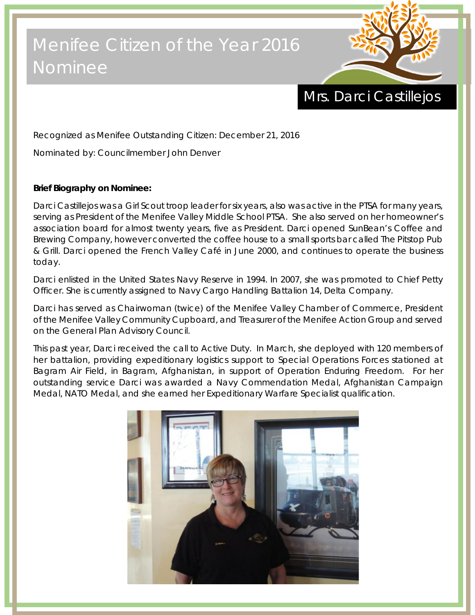# Menifee Citizen of the Year 2016 Nominee



# Mrs. Darci Castillejos

Recognized as Menifee Outstanding Citizen: December 21, 2016

Nominated by: Councilmember John Denver

# **Brief Biography on Nominee:**

Darci Castillejos was a Girl Scout troop leader for six years, also was active in the PTSA for many years, serving as President of the Menifee Valley Middle School PTSA. She also served on her homeowner's association board for almost twenty years, five as President. Darci opened SunBean's Coffee and Brewing Company, however converted the coffee house to a small sports bar called The Pitstop Pub & Grill. Darci opened the French Valley Café in June 2000, and continues to operate the business today.

Darci enlisted in the United States Navy Reserve in 1994. In 2007, she was promoted to Chief Petty Officer. She is currently assigned to Navy Cargo Handling Battalion 14, Delta Company.

Darci has served as Chairwoman (twice) of the Menifee Valley Chamber of Commerce, President of the Menifee Valley Community Cupboard, and Treasurer of the Menifee Action Group and served on the General Plan Advisory Council.

This past year, Darci received the call to Active Duty. In March, she deployed with 120 members of her battalion, providing expeditionary logistics support to Special Operations Forces stationed at Bagram Air Field, in Bagram, Afghanistan, in support of Operation Enduring Freedom. For her outstanding service Darci was awarded a Navy Commendation Medal, Afghanistan Campaign Medal, NATO Medal, and she earned her Expeditionary Warfare Specialist qualification.

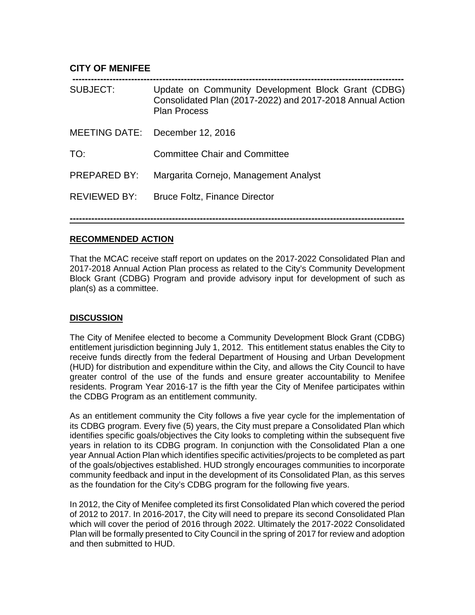## <span id="page-9-0"></span>**CITY OF MENIFEE**

| <b>SUBJECT:</b>     | Update on Community Development Block Grant (CDBG)<br>Consolidated Plan (2017-2022) and 2017-2018 Annual Action<br><b>Plan Process</b> |
|---------------------|----------------------------------------------------------------------------------------------------------------------------------------|
|                     | MEETING DATE: December 12, 2016                                                                                                        |
| TO:                 | <b>Committee Chair and Committee</b>                                                                                                   |
| <b>PREPARED BY:</b> | Margarita Cornejo, Management Analyst                                                                                                  |
| <b>REVIEWED BY:</b> | <b>Bruce Foltz, Finance Director</b>                                                                                                   |
|                     |                                                                                                                                        |

## **RECOMMENDED ACTION**

That the MCAC receive staff report on updates on the 2017-2022 Consolidated Plan and 2017-2018 Annual Action Plan process as related to the City's Community Development Block Grant (CDBG) Program and provide advisory input for development of such as plan(s) as a committee.

**------------------------------------------------------------------------------------------------------------**

#### **DISCUSSION**

The City of Menifee elected to become a Community Development Block Grant (CDBG) entitlement jurisdiction beginning July 1, 2012. This entitlement status enables the City to receive funds directly from the federal Department of Housing and Urban Development (HUD) for distribution and expenditure within the City, and allows the City Council to have greater control of the use of the funds and ensure greater accountability to Menifee residents. Program Year 2016-17 is the fifth year the City of Menifee participates within the CDBG Program as an entitlement community.

As an entitlement community the City follows a five year cycle for the implementation of its CDBG program. Every five (5) years, the City must prepare a Consolidated Plan which identifies specific goals/objectives the City looks to completing within the subsequent five years in relation to its CDBG program. In conjunction with the Consolidated Plan a one year Annual Action Plan which identifies specific activities/projects to be completed as part of the goals/objectives established. HUD strongly encourages communities to incorporate community feedback and input in the development of its Consolidated Plan, as this serves as the foundation for the City's CDBG program for the following five years.

In 2012, the City of Menifee completed its first Consolidated Plan which covered the period of 2012 to 2017. In 2016-2017, the City will need to prepare its second Consolidated Plan which will cover the period of 2016 through 2022. Ultimately the 2017-2022 Consolidated Plan will be formally presented to City Council in the spring of 2017 for review and adoption and then submitted to HUD.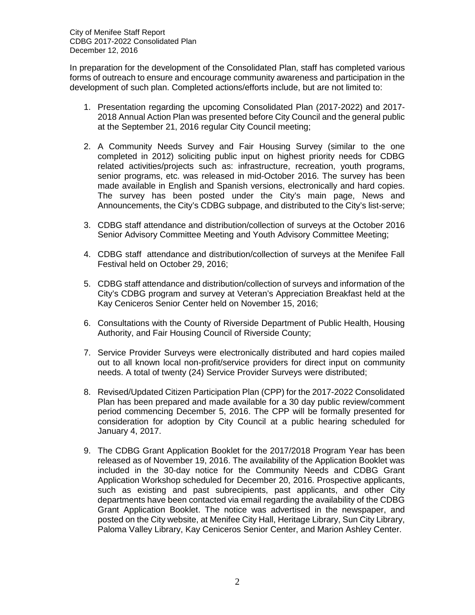City of Menifee Staff Report CDBG 2017-2022 Consolidated Plan December 12, 2016

In preparation for the development of the Consolidated Plan, staff has completed various forms of outreach to ensure and encourage community awareness and participation in the development of such plan. Completed actions/efforts include, but are not limited to:

- 1. Presentation regarding the upcoming Consolidated Plan (2017-2022) and 2017- 2018 Annual Action Plan was presented before City Council and the general public at the September 21, 2016 regular City Council meeting;
- 2. A Community Needs Survey and Fair Housing Survey (similar to the one completed in 2012) soliciting public input on highest priority needs for CDBG related activities/projects such as: infrastructure, recreation, youth programs, senior programs, etc. was released in mid-October 2016. The survey has been made available in English and Spanish versions, electronically and hard copies. The survey has been posted under the City's main page, News and Announcements, the City's CDBG subpage, and distributed to the City's list-serve;
- 3. CDBG staff attendance and distribution/collection of surveys at the October 2016 Senior Advisory Committee Meeting and Youth Advisory Committee Meeting;
- 4. CDBG staff attendance and distribution/collection of surveys at the Menifee Fall Festival held on October 29, 2016;
- 5. CDBG staff attendance and distribution/collection of surveys and information of the City's CDBG program and survey at Veteran's Appreciation Breakfast held at the Kay Ceniceros Senior Center held on November 15, 2016;
- 6. Consultations with the County of Riverside Department of Public Health, Housing Authority, and Fair Housing Council of Riverside County;
- 7. Service Provider Surveys were electronically distributed and hard copies mailed out to all known local non-profit/service providers for direct input on community needs. A total of twenty (24) Service Provider Surveys were distributed;
- 8. Revised/Updated Citizen Participation Plan (CPP) for the 2017-2022 Consolidated Plan has been prepared and made available for a 30 day public review/comment period commencing December 5, 2016. The CPP will be formally presented for consideration for adoption by City Council at a public hearing scheduled for January 4, 2017.
- 9. The CDBG Grant Application Booklet for the 2017/2018 Program Year has been released as of November 19, 2016. The availability of the Application Booklet was included in the 30-day notice for the Community Needs and CDBG Grant Application Workshop scheduled for December 20, 2016. Prospective applicants, such as existing and past subrecipients, past applicants, and other City departments have been contacted via email regarding the availability of the CDBG Grant Application Booklet. The notice was advertised in the newspaper, and posted on the City website, at Menifee City Hall, Heritage Library, Sun City Library, Paloma Valley Library, Kay Ceniceros Senior Center, and Marion Ashley Center.